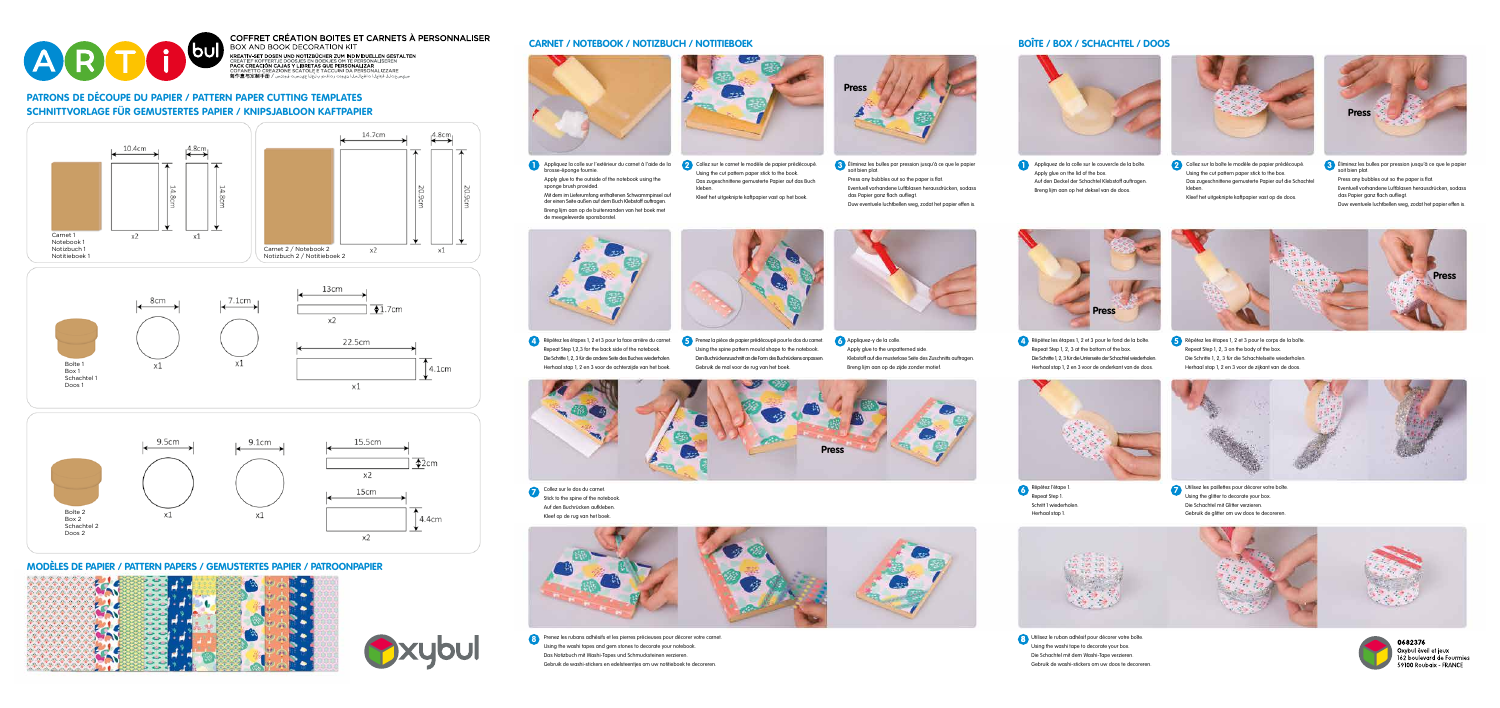

COFFRET CRÉATION BOITES ET CARNETS À PERSONNALISER BOX AND BOOK DECORATION KIT 

> **1** Appliquez la colle sur l'extérieur du carnet à l'aide de la Collez sur le carnet le modèle de papier prédécoupé.<br>Le proces éponse fournie brosse-éponge fournie. Apply glue to the outside of the notebook using the sponge brush provided. Mit dem im Lieferumfang enthaltenen Schwammpinsel auf der einen Seite außen auf dem Buch Klebstoff auftragen. Breng lijm aan op de buitenranden van het boek met de meegeleverde sponsborstel.



- **2** Collez sur le carnet le modèle de papier prédécoupé. **3** Eliminez les bulles par pression jusqu'à ce que le papier **and provident de la papier de la colle** sur le couvercle de la boîte. Comme to plant a soit bien plat. Press any bubbles out so the paper is flat.
	- Eventuell vorhandene Luftblasen herausdrücken, sodass das Papier ganz flach aufliegt. Duw eventuele luchtbellen weg, zodat het papier effen is.

Using the cut pattern paper stick to the book. Das zugeschnittene gemusterte Papier auf das Buch kleben.

Appliquez de la colle sur le couvercle de la boîte. Apply glue on the lid of the box. Auf den Deckel der Schachtel Klebstoff auftragen. Breng lijm aan op het deksel van de doos.



- 
- Kleef het uitgeknipte kaftpapier vast op het boek.

Collez sur la boîte le modèle de papier prédécoupé. Using the cut pattern paper stick to the box. Das zugeschnittene gemusterte Papier auf die Schachtel kleben. Kleef het uitgeknipte kaftpapier vast op de doos.

- Éliminez les bulles par pression jusqu'à ce que le papier soit bien plat. **3**
- Press any bubbles out so the paper is flat. Eventuell vorhandene Luftblasen herausdrücken, sodass das Papier ganz flach aufliegt.
- Duw eventuele luchtbellen weg, zodat het papier effen is.

Prenez les rubans adhésifs et les pierres précieuses pour décorer votre carnet. **8 8** Using the washi tapes and gem stones to decorate your notebook. Das Notizbuch mit Washi-Tapes und Schmucksteinen verzieren. Gebruik de washi-stickers en edelsteentjes om uw notitieboek te decoreren.

Utilisez le ruban adhésif pour décorer votre boîte. Using the washi tape to decorate your box. Die Schachtel mit dem Washi-Tape verzieren. Gebruik de washi-stickers om uw doos te decoreren.



0682376 Oxybul éveil et jeux 162 boulevard de Fourmies 59100 Roubaix - FRANCE

Repeat Step 1,2,3 for the back side of the notebook. Die Schritte 1, 2, 3 für die andere Seite des Buches wiederholen. Herhaal stap 1, 2 en 3 voor de achterzijde van het boek.



A Répétez les étapes 1, 2 et 3 pour la face arrière du carnet. **5** Prenez la pièce de papier prédécoupé pour le dos du carnet. 6 Appliquez-y de la colle. **19 prenez la proprier de la pour le fond de la boîte. 5** 

Using the spine pattern mould shape to the notebook. Den Buchrückenzuschnitt an die Form des Buchrückens anpassen. Appliquez-y de la colle. **6** Apply glue to the unpatterned side. Klebstoff auf die musterlose Seite des Zuschnitts auftragen.

- Répétez les étapes 1, 2 et 3 pour le fond de la boîte. **4** Repeat Step 1, 2, 3 at the bottom of the box. Die Schritte 1, 2, 3 für die Unterseite der Schachtel wiederholen. Herhaal stap 1, 2 en 3 voor de onderkant van de doos.
- Répétez les étapes 1, 2 et 3 pour le corps de la boîte. Repeat Step 1, 2, 3 on the body of the box. Die Schritte 1, 2, 3 für die Schachtelseite wiederholen. Herhaal stap 1, 2 en 3 voor de zijkant van de doos.





Collez sur le dos du carnet. Stick to the spine of the notebook. Auf den Buchrücken aufkleben. Kleef op de rug van het boek. **7** Collez sur le dos du carnet.<br>**7** Collez sur le dos du carnet.



Répétez l'étape 1. Repeat Step 1. Schritt 1 wiederholen. Herhaal stap 1.

Utilisez les paillettes pour décorer votre boîte. Using the glitter to decorate your box. Die Schachtel mit Glitter verzieren. Gebruik de glitter om uw doos te decoreren.



### **CARNET / NOTEBOOK / NOTIZBUCH / NOTITIEBOEK**









**Press**



## **PATRONS DE DÉCOUPE DU PAPIER / PATTERN PAPER CUTTING TEMPLATES SCHNITTVORLAGE FÜR GEMUSTERTES PAPIER / KNIPSJABLOON KAFTPAPIER**

#### **MODÈLES DE PAPIER / PATTERN PAPERS / GEMUSTERTES PAPIER / PATROONPAPIER**





## **BOÎTE / BOX / SCHACHTEL / DOOS**